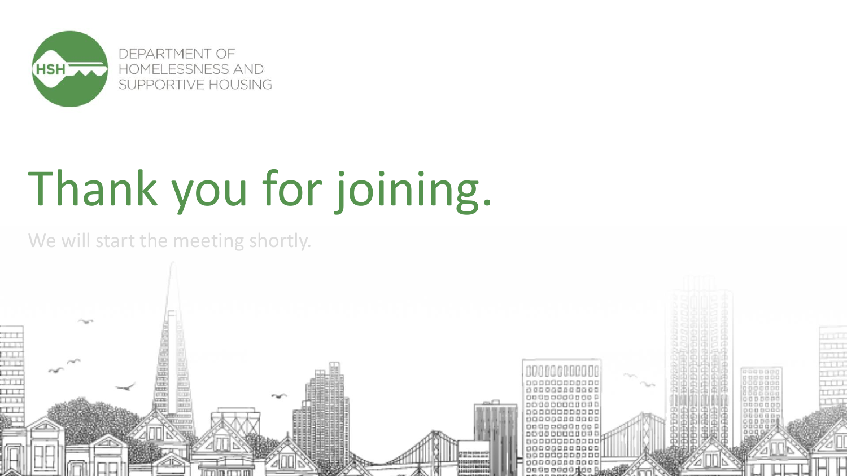

# Thank you for joining.

#### We will start the meeting shortly.

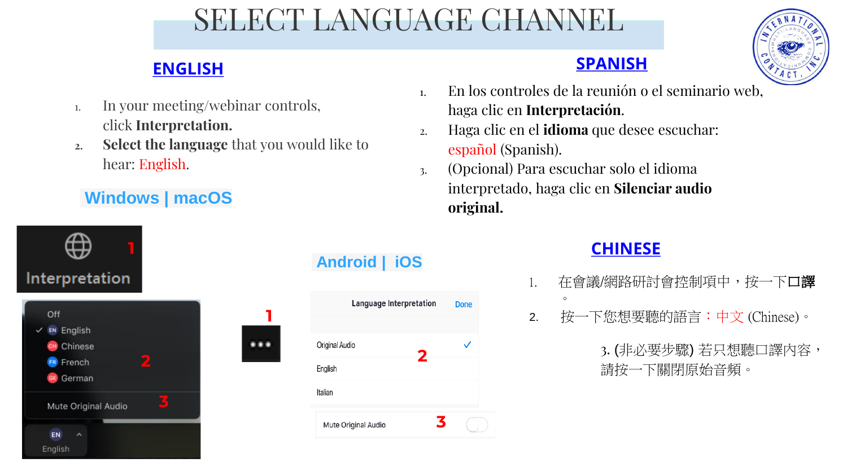### SELECT LANGUAGE CHANNEL



### **ENGLISH SPANISH**

- 1. In your meeting/webinar controls, click **Interpretation.**
- **2. Select the language** that you would like to hear: English.

#### **[Windows | macOS](https://support.zoom.us/hc/en-us/articles/360034919791-Language-interpretation-in-meetings-and-webinars#collapsePC)**

#### **1** Interpretation Off **1**  $\times$  EN English CH Chinese **TELESCO 2 FR** French GE German

**3**

Mute Original Audio

**EN** English

#### **[Android | iOS](https://support.zoom.us/hc/en-us/articles/360034919791-Language-interpretation-in-meetings-and-webinars#collapseiOS)**



- 1. En los controles de la reunión o el seminario web, haga clic en **Interpretación**.
- 2. Haga clic en el **idioma** que desee escuchar: español (Spanish).
- 3. (Opcional) Para escuchar solo el idioma interpretado, haga clic en **Silenciar audio original.**

#### **CHINESE**

- 1. 在會議/網路研討會控制項中, 按一下口譯  $\circ$
- 2. 按一下您想要聽的語言:中文 (Chinese)。

3. (非必要步驟) 若只想聽口譯內容, 請按一下關閉原始音頻。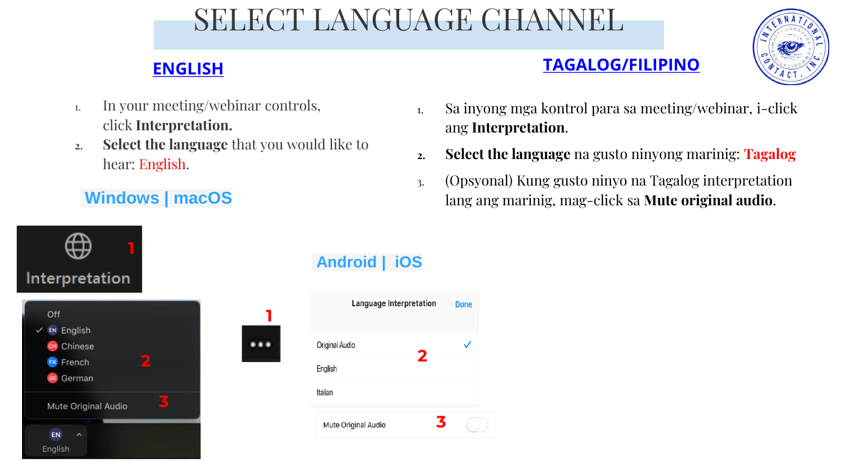### SELECT LANGUAGE CHANNEL

#### **ENGLISH TAGALOG/FILIPINO**



- 1. In your meeting/webinar controls, click **Interpretation.**
- **2. Select the language** that you would like to hear: English.

### **[Windows | macOS](https://support.zoom.us/hc/en-us/articles/360034919791-Language-interpretation-in-meetings-and-webinars#collapsePC)**

- 1. Sa inyong mga kontrol para sa meeting/webinar, i-click ang **Interpretation**.
- **2. Select the language** na gusto ninyong marinig: **Tagalog**
- 3. (Opsyonal) Kung gusto ninyo na Tagalog interpretation lang ang marinig, mag-click sa **Mute original audio**.



#### **[Android | iOS](https://support.zoom.us/hc/en-us/articles/360034919791-Language-interpretation-in-meetings-and-webinars#collapseiOS)**

**2**

**3**

**Done**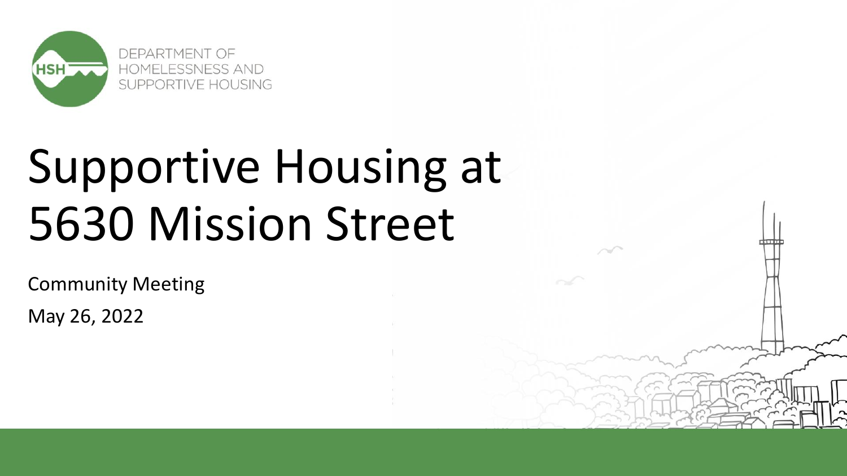

# Supportive Housing at 5630 Mission Street

Community Meeting May 26, 2022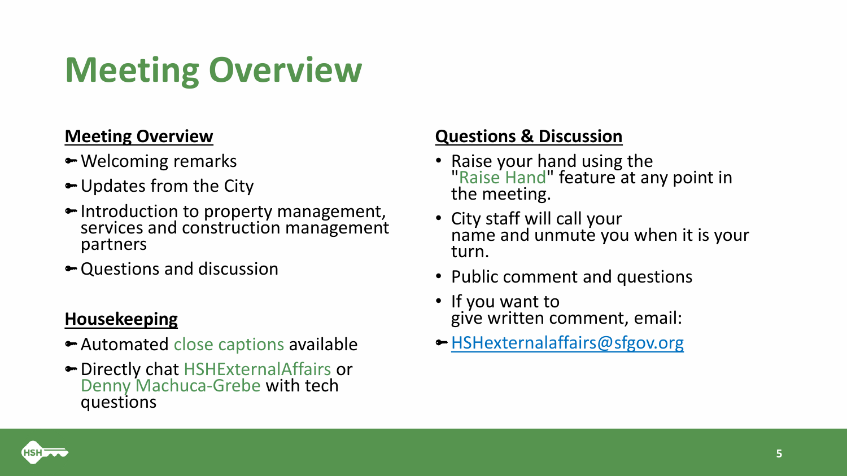### **Meeting Overview**

#### **Meeting Overview**

- Welcoming remarks
- Updates from the City
- Introduction to property management, services and construction management partners
- Questions and discussion

#### **Housekeeping**

- Automated close captions available
- Directly chat HSHExternalAffairs or Denny Machuca-Grebe with tech questions

#### **Questions & Discussion**

- Raise your hand using the "Raise Hand" feature at any point in the meeting.
- City staff will call your name and unmute you when it is your turn.
- Public comment and questions
- If you want to give written comment, email:
- [HSHexternalaffairs@sfgov.org](mailto:HSHexternalaffairs@sfgov.org)

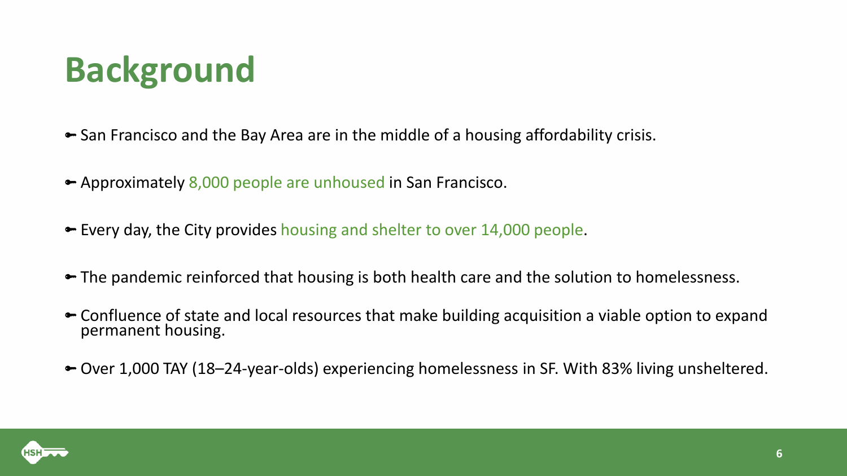## **Background**

- San Francisco and the Bay Area are in the middle of a housing affordability crisis.
- Approximately 8,000 people are unhoused in San Francisco.
- Every day, the City provides housing and shelter to over 14,000 people.
- The pandemic reinforced that housing is both health care and the solution to homelessness.
- ← Confluence of state and local resources that make building acquisition a viable option to expand permanent housing.
- Over 1,000 TAY (18–24-year-olds) experiencing homelessness in SF. With 83% living unsheltered.

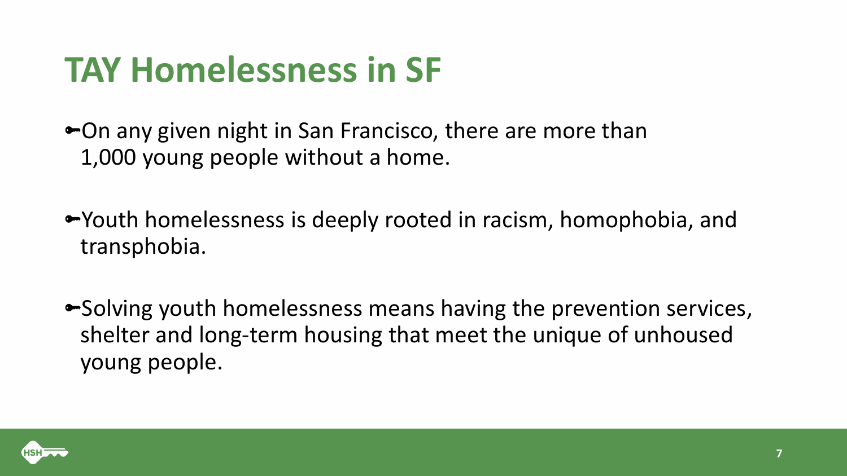### **TAY Homelessness in SF**

• On any given night in San Francisco, there are more than 1,000 young people without a home.

Youth homelessness is deeply rooted in racism, homophobia, and transphobia.

• Solving youth homelessness means having the prevention services, shelter and long-term housing that meet the unique of unhoused young people.

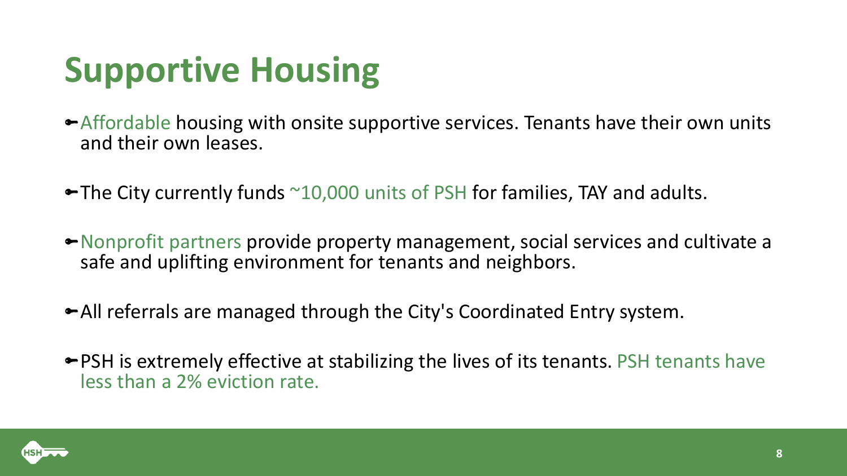## **Supportive Housing**

- Affordable housing with onsite supportive services. Tenants have their own units and their own leases.
- $\blacktriangleright$  The City currently funds  $\sim$ 10,000 units of PSH for families, TAY and adults.
- Nonprofit partners provide property management, social services and cultivate a safe and uplifting environment for tenants and neighbors.
- All referrals are managed through the City's Coordinated Entry system.
- PSH is extremely effective at stabilizing the lives of its tenants. PSH tenants have less than a 2% eviction rate.

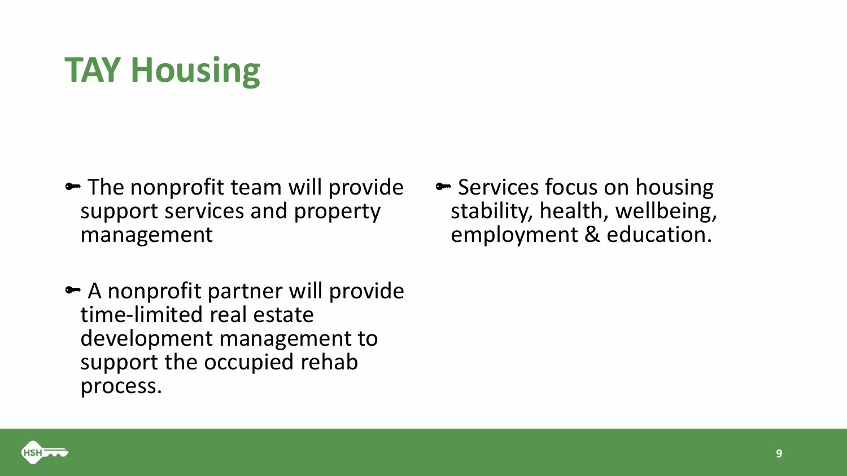### **TAY Housing**

- The nonprofit team will provide support services and property management
- A nonprofit partner will provide time-limited real estate development management to support the occupied rehab process.
- Services focus on housing stability, health, wellbeing, employment & education.

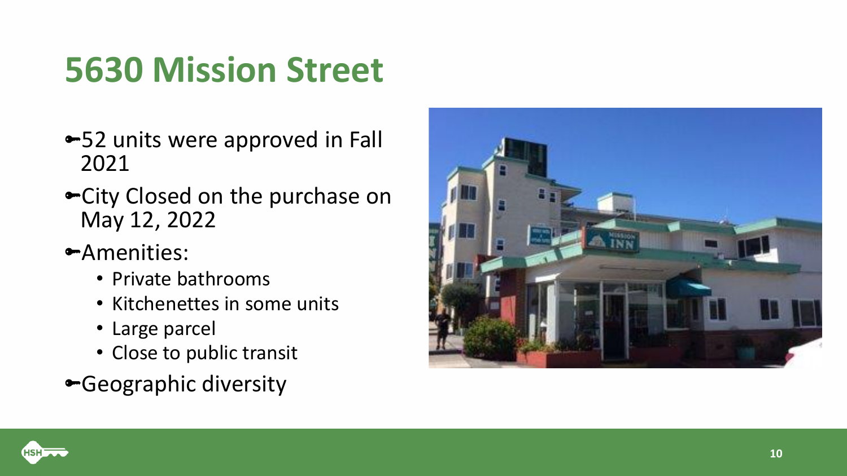### **5630 Mission Street**

- 52 units were approved in Fall 2021
- City Closed on the purchase on May 12, 2022
- Amenities:
	- Private bathrooms
	- Kitchenettes in some units
	- Large parcel
	- Close to public transit
- Geographic diversity



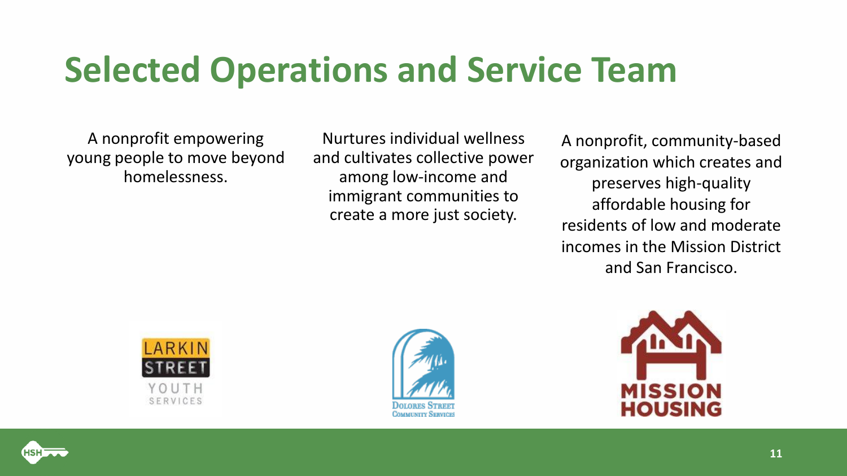### **Selected Operations and Service Team**

A nonprofit empowering young people to move beyond homelessness.

Nurtures individual wellness and cultivates collective power among low-income and immigrant communities to create a more just society.

A nonprofit, community-based organization which creates and preserves high-quality affordable housing for residents of low and moderate incomes in the Mission District and San Francisco.







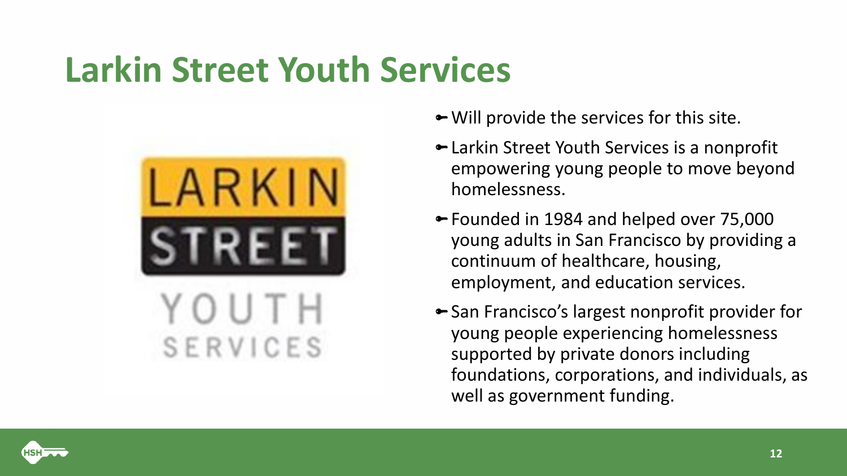### **Larkin Street Youth Services**



- Will provide the services for this site.
- Larkin Street Youth Services is a nonprofit empowering young people to move beyond homelessness.
- Founded in 1984 and helped over 75,000 young adults in San Francisco by providing a continuum of healthcare, housing, employment, and education services.
- San Francisco's largest nonprofit provider for young people experiencing homelessness supported by private donors including foundations, corporations, and individuals, as well as government funding.

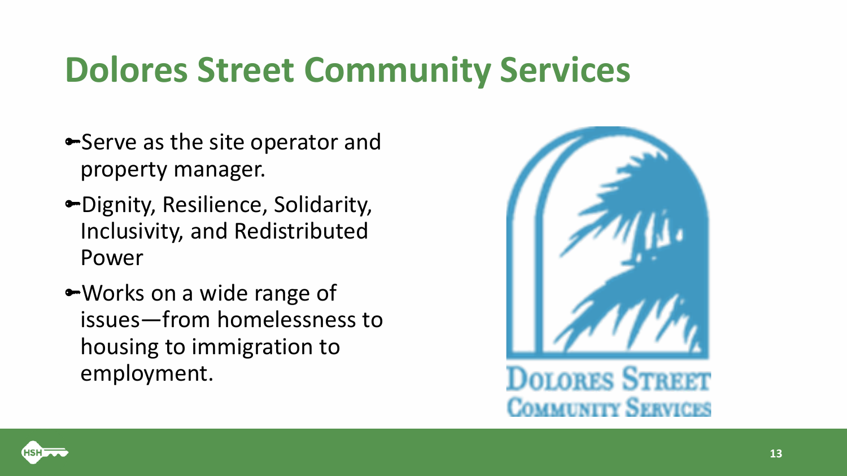### **Dolores Street Community Services**

- Serve as the site operator and property manager.
- Dignity, Resilience, Solidarity, Inclusivity, and Redistributed Power
- Works on a wide range of issues—from homelessness to housing to immigration to employment.



**DOLORES STREET MMINITY SERVICES** 

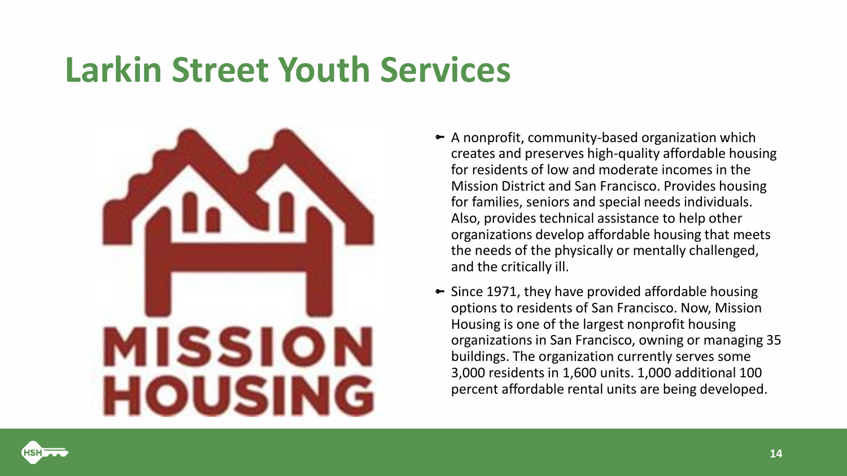### **Larkin Street Youth Services**



- $\blacktriangleright$  A nonprofit, community-based organization which creates and preserves high-quality affordable housing for residents of low and moderate incomes in the Mission District and San Francisco. Provides housing for families, seniors and special needs individuals. Also, provides technical assistance to help other organizations develop affordable housing that meets the needs of the physically or mentally challenged, and the critically ill.
- $\blacktriangleright$  Since 1971, they have provided affordable housing options to residents of San Francisco. Now, Mission Housing is one of the largest nonprofit housing organizations in San Francisco, owning or managing 35 buildings. The organization currently serves some 3,000 residents in 1,600 units. 1,000 additional 100 percent affordable rental units are being developed.

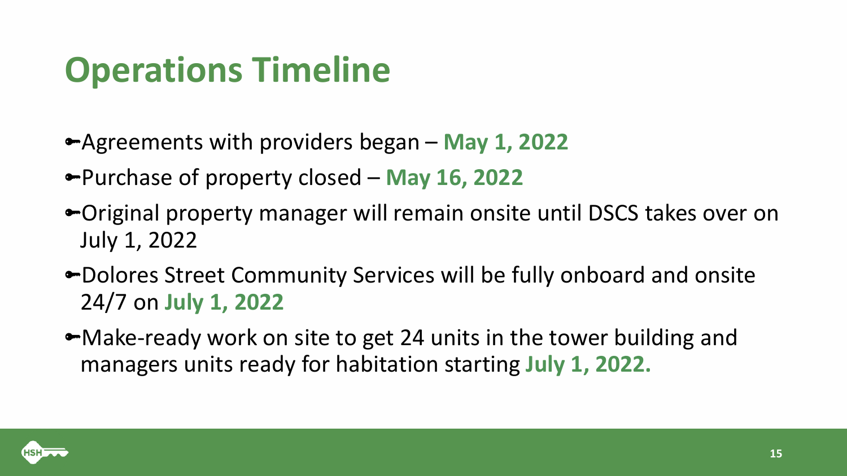### **Operations Timeline**

- Agreements with providers began **May 1, 2022**
- Purchase of property closed **May 16, 2022**
- Original property manager will remain onsite until DSCS takes over on July 1, 2022
- Dolores Street Community Services will be fully onboard and onsite 24/7 on **July 1, 2022**
- Make-ready work on site to get 24 units in the tower building and managers units ready for habitation starting **July 1, 2022.**

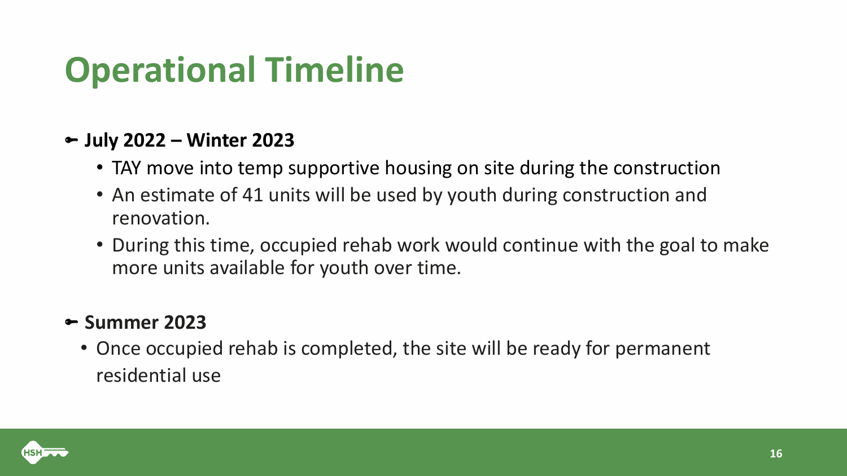### **Operational Timeline**

#### **July 2022 – Winter 2023**

- TAY move into temp supportive housing on site during the construction
- An estimate of 41 units will be used by youth during construction and renovation.
- During this time, occupied rehab work would continue with the goal to make more units available for youth over time.

#### **Summer 2023**

• Once occupied rehab is completed, the site will be ready for permanent residential use

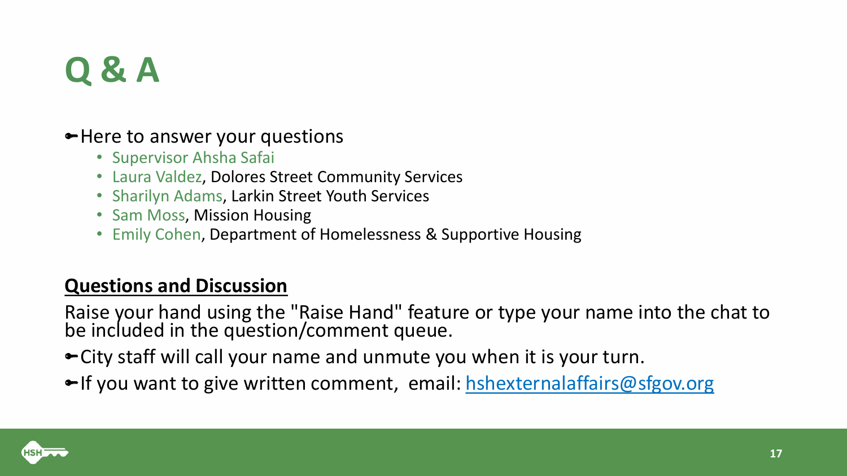### **Q & A**

#### • Here to answer your questions

- Supervisor Ahsha Safai
- Laura Valdez, Dolores Street Community Services
- Sharilyn Adams, Larkin Street Youth Services
- Sam Moss, Mission Housing
- Emily Cohen, Department of Homelessness & Supportive Housing

### **Questions and Discussion**

Raise your hand using the "Raise Hand" feature or type your name into the chat to be included in the question/comment queue.

City staff will call your name and unmute you when it is your turn.

• If you want to give written comment, email: [hshexternalaffairs@sfgov.org](mailto:hshexternalaffairs@sfgov.org)